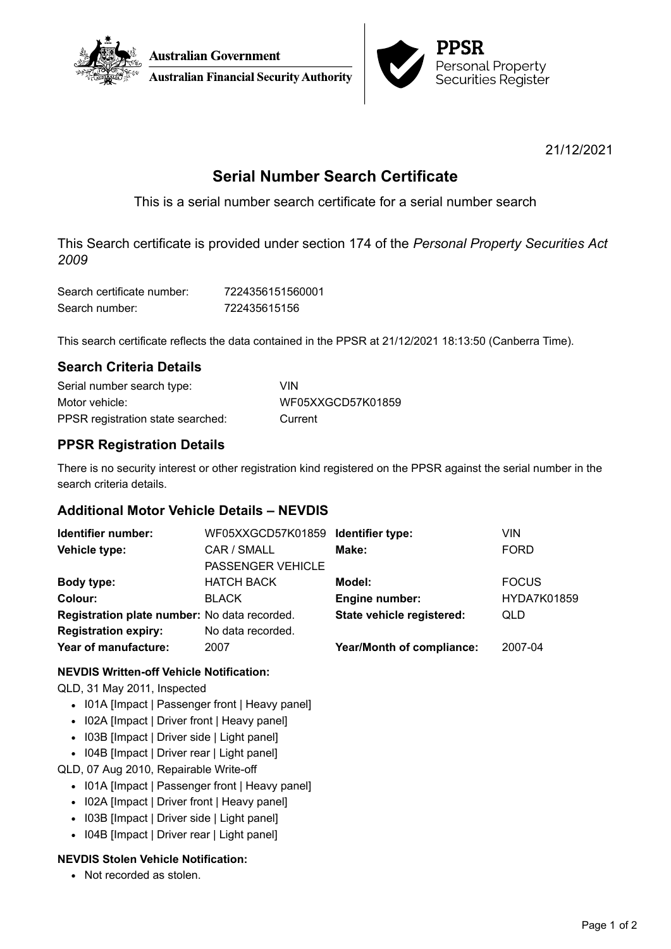



21/12/2021

# **Serial Number Search Certificate**

This is a serial number search certificate for a serial number search

This Search certificate is provided under section 174 of the *Personal Property Securities Act 2009*

| Search certificate number: | 7224356151560001 |
|----------------------------|------------------|
| Search number:             | 722435615156     |

This search certificate reflects the data contained in the PPSR at 21/12/2021 18:13:50 (Canberra Time).

## **Search Criteria Details**

| Serial number search type:        | <b>VIN</b>        |
|-----------------------------------|-------------------|
| Motor vehicle:                    | WF05XXGCD57K01859 |
| PPSR registration state searched: | Current           |

# **PPSR Registration Details**

There is no security interest or other registration kind registered on the PPSR against the serial number in the search criteria details.

## **Additional Motor Vehicle Details – NEVDIS**

| Identifier number:                           | WF05XXGCD57K01859 Identifier type: |                           | VIN                |
|----------------------------------------------|------------------------------------|---------------------------|--------------------|
| Vehicle type:                                | CAR / SMALL                        | Make:                     | <b>FORD</b>        |
|                                              | <b>PASSENGER VEHICLE</b>           |                           |                    |
| Body type:                                   | <b>HATCH BACK</b>                  | Model:                    | <b>FOCUS</b>       |
| Colour:                                      | <b>BLACK</b>                       | Engine number:            | <b>HYDA7K01859</b> |
| Registration plate number: No data recorded. |                                    | State vehicle registered: | <b>QLD</b>         |
| <b>Registration expiry:</b>                  | No data recorded.                  |                           |                    |
| Year of manufacture:                         | 2007                               | Year/Month of compliance: | 2007-04            |
|                                              |                                    |                           |                    |

### **NEVDIS Written-off Vehicle Notification:**

QLD, 31 May 2011, Inspected

- I01A [Impact | Passenger front | Heavy panel]
- I02A [Impact | Driver front | Heavy panel]
- I03B [Impact | Driver side | Light panel]
- I04B [Impact | Driver rear | Light panel]
- QLD, 07 Aug 2010, Repairable Write-off
	- I01A [Impact | Passenger front | Heavy panel]
	- I02A [Impact | Driver front | Heavy panel]
	- I03B [Impact | Driver side | Light panel]
	- I04B [Impact | Driver rear | Light panel]

## **NEVDIS Stolen Vehicle Notification:**

• Not recorded as stolen.